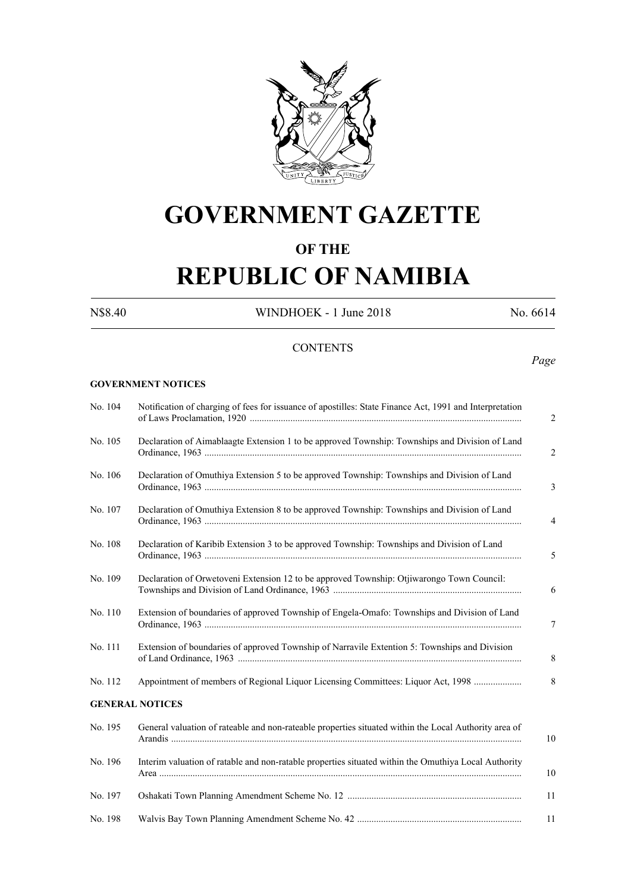

# **GOVERNMENT GAZETTE**

### **OF THE**

# **REPUBLIC OF NAMIBIA**

N\$8.40 WINDHOEK - 1 June 2018 No. 6614

#### **CONTENTS**

### *Page*

#### **GOVERNMENT NOTICES**

| No. 104 | Notification of charging of fees for issuance of apostilles: State Finance Act, 1991 and Interpretation |
|---------|---------------------------------------------------------------------------------------------------------|
| No. 105 | Declaration of Aimablaagte Extension 1 to be approved Township: Townships and Division of Land          |
| No. 106 | Declaration of Omuthiya Extension 5 to be approved Township: Townships and Division of Land             |
| No. 107 | Declaration of Omuthiya Extension 8 to be approved Township: Townships and Division of Land             |
| No. 108 | Declaration of Karibib Extension 3 to be approved Township: Townships and Division of Land              |
| No. 109 | Declaration of Orwetoveni Extension 12 to be approved Township: Otjiwarongo Town Council:               |
| No. 110 | Extension of boundaries of approved Township of Engela-Omafo: Townships and Division of Land            |
| No. 111 | Extension of boundaries of approved Township of Narravile Extention 5: Townships and Division           |
| No. 112 | Appointment of members of Regional Liquor Licensing Committees: Liquor Act, 1998                        |
|         | <b>GENERAL NOTICES</b>                                                                                  |
| No. 195 | General valuation of rateable and non-rateable properties situated within the Local Authority area of   |
| No. 196 | Interim valuation of ratable and non-ratable properties situated within the Omuthiya Local Authority    |
| No. 197 |                                                                                                         |
| No. 198 |                                                                                                         |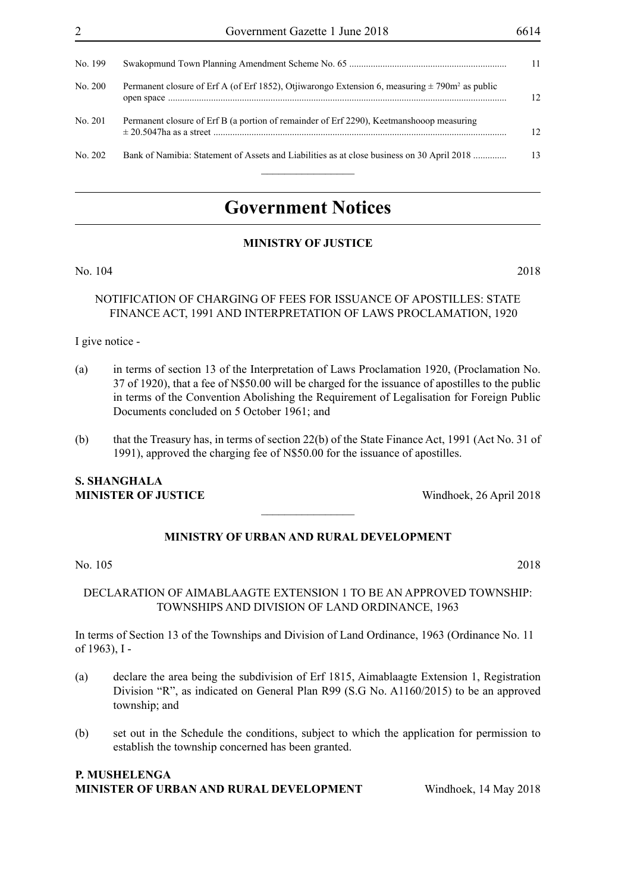| No. 199 |                                                                                                                |                 |
|---------|----------------------------------------------------------------------------------------------------------------|-----------------|
| No. 200 | Permanent closure of Erf A (of Erf 1852), Otjiwarongo Extension 6, measuring $\pm$ 790m <sup>2</sup> as public | 12              |
| No. 201 | Permanent closure of Erf B (a portion of remainder of Erf 2290), Keetmanshooop measuring                       | 12 <sup>2</sup> |
| No. 202 | Bank of Namibia: Statement of Assets and Liabilities as at close business on 30 April 2018                     | 13              |
|         |                                                                                                                |                 |

## **Government Notices**

#### **MINISTRY OF JUSTICE**

No. 104 2018

#### NOTIFICATION OF CHARGING OF FEES FOR ISSUANCE OF APOSTILLES: STATE FINANCE ACT, 1991 AND INTERPRETATION OF LAWS PROCLAMATION, 1920

I give notice -

- (a) in terms of section 13 of the Interpretation of Laws Proclamation 1920, (Proclamation No. 37 of 1920), that a fee of N\$50.00 will be charged for the issuance of apostilles to the public in terms of the Convention Abolishing the Requirement of Legalisation for Foreign Public Documents concluded on 5 October 1961; and
- (b) that the Treasury has, in terms of section 22(b) of the State Finance Act, 1991 (Act No. 31 of 1991), approved the charging fee of N\$50.00 for the issuance of apostilles.

#### **S. SHANGHALA MINISTER OF JUSTICE** Windhoek, 26 April 2018

#### **MINISTRY OF URBAN AND RURAL DEVELOPMENT**

 $\frac{1}{2}$ 

No. 105 2018

#### DECLARATION OF AIMABLAAGTE EXTENSION 1 TO BE AN APPROVED TOWNSHIP: TOWNSHIPS AND DIVISION OF LAND ORDINANCE, 1963

In terms of Section 13 of the Townships and Division of Land Ordinance, 1963 (Ordinance No. 11 of 1963), I -

- (a) declare the area being the subdivision of Erf 1815, Aimablaagte Extension 1, Registration Division "R", as indicated on General Plan R99 (S.G No. A1160/2015) to be an approved township; and
- (b) set out in the Schedule the conditions, subject to which the application for permission to establish the township concerned has been granted.

#### **P. Mushelenga Minister of Urban and Rural Development** Windhoek, 14 May 2018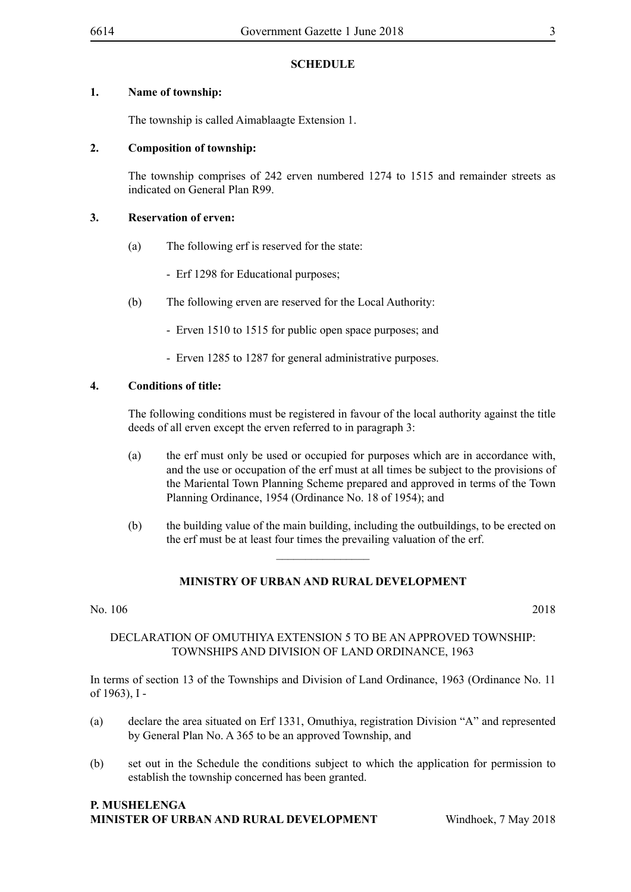#### **1. Name of township:**

The township is called Aimablaagte Extension 1.

#### **2. Composition of township:**

The township comprises of 242 erven numbered 1274 to 1515 and remainder streets as indicated on General Plan R99.

#### **3. Reservation of erven:**

- (a) The following erf is reserved for the state:
	- Erf 1298 for Educational purposes;
- (b) The following erven are reserved for the Local Authority:
	- Erven 1510 to 1515 for public open space purposes; and
	- Erven 1285 to 1287 for general administrative purposes.

#### **4. Conditions of title:**

The following conditions must be registered in favour of the local authority against the title deeds of all erven except the erven referred to in paragraph 3:

- (a) the erf must only be used or occupied for purposes which are in accordance with, and the use or occupation of the erf must at all times be subject to the provisions of the Mariental Town Planning Scheme prepared and approved in terms of the Town Planning Ordinance, 1954 (Ordinance No. 18 of 1954); and
- (b) the building value of the main building, including the outbuildings, to be erected on the erf must be at least four times the prevailing valuation of the erf.

#### **MINISTRY OF URBAN AND RURAL DEVELOPMENT**

 $\frac{1}{2}$ 

No. 106 2018

#### DECLARATION OF OMUTHIYA EXTENSION 5 TO BE AN APPROVED TOWNSHIP: TOWNSHIPS AND DIVISION OF LAND ORDINANCE, 1963

In terms of section 13 of the Townships and Division of Land Ordinance, 1963 (Ordinance No. 11 of 1963), I ‑

- (a) declare the area situated on Erf 1331, Omuthiya, registration Division "A" and represented by General Plan No. A 365 to be an approved Township, and
- (b) set out in the Schedule the conditions subject to which the application for permission to establish the township concerned has been granted.

#### **P. Mushelenga Minister of Urban and Rural Development** Windhoek, 7 May 2018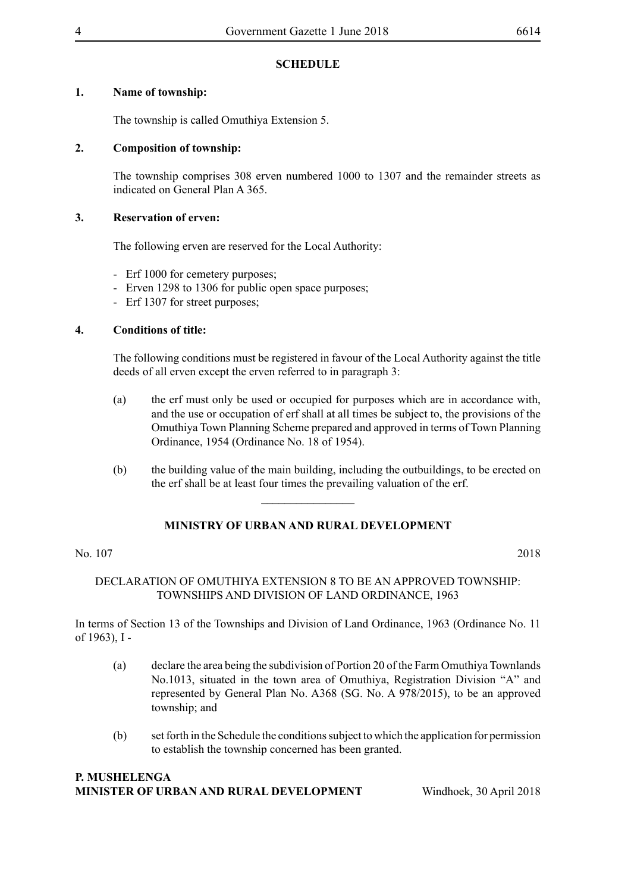#### **1. Name of township:**

The township is called Omuthiya Extension 5.

#### **2. Composition of township:**

The township comprises 308 erven numbered 1000 to 1307 and the remainder streets as indicated on General Plan A 365.

#### **3. Reservation of erven:**

The following erven are reserved for the Local Authority:

- Erf 1000 for cemetery purposes;
- Erven 1298 to 1306 for public open space purposes;
- Erf 1307 for street purposes;

#### **4. Conditions of title:**

The following conditions must be registered in favour of the Local Authority against the title deeds of all erven except the erven referred to in paragraph 3:

- (a) the erf must only be used or occupied for purposes which are in accordance with, and the use or occupation of erf shall at all times be subject to, the provisions of the Omuthiya Town Planning Scheme prepared and approved in terms of Town Planning Ordinance, 1954 (Ordinance No. 18 of 1954).
- (b) the building value of the main building, including the outbuildings, to be erected on the erf shall be at least four times the prevailing valuation of the erf.

### **MINISTRY OF URBAN AND RURAL DEVELOPMENT**

 $\frac{1}{2}$ 

#### No. 107 2018

#### DECLARATION OF OMUTHIYA EXTENSION 8 TO BE AN APPROVED TOWNSHIP: TOWNSHIPS AND DIVISION OF LAND ORDINANCE, 1963

In terms of Section 13 of the Townships and Division of Land Ordinance, 1963 (Ordinance No. 11 of 1963), I -

- (a) declare the area being the subdivision of Portion 20 of the Farm Omuthiya Townlands No.1013, situated in the town area of Omuthiya, Registration Division "A" and represented by General Plan No. A368 (SG. No. A 978/2015), to be an approved township; and
- (b) set forth in the Schedule the conditions subject to which the application for permission to establish the township concerned has been granted.

#### **P. Mushelenga Minister of Urban and Rural Development** Windhoek, 30 April 2018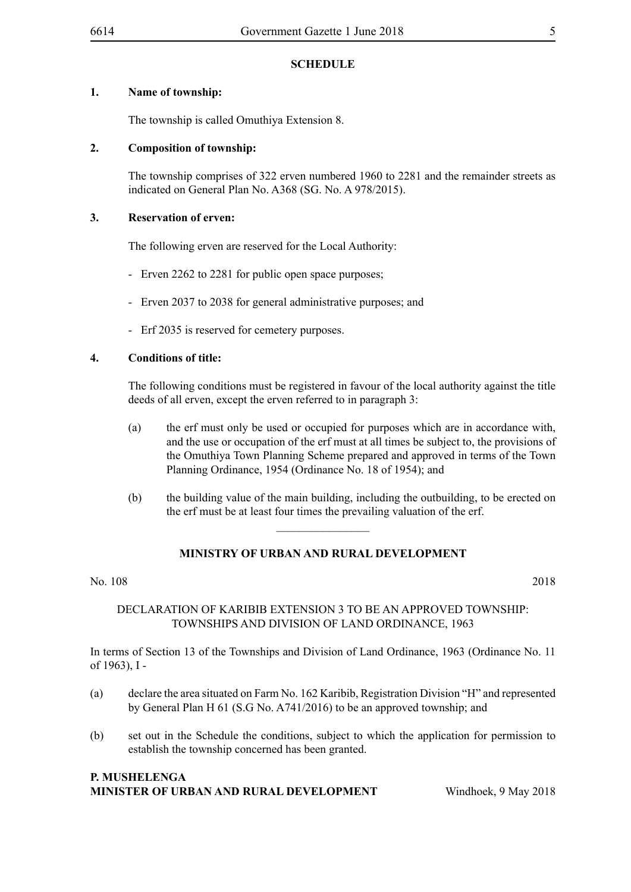#### **1. Name of township:**

The township is called Omuthiya Extension 8.

#### **2. Composition of township:**

The township comprises of 322 erven numbered 1960 to 2281 and the remainder streets as indicated on General Plan No. A368 (SG. No. A 978/2015).

#### **3. Reservation of erven:**

The following erven are reserved for the Local Authority:

- Erven 2262 to 2281 for public open space purposes;
- Erven 2037 to 2038 for general administrative purposes; and
- Erf 2035 is reserved for cemetery purposes.

#### **4. Conditions of title:**

The following conditions must be registered in favour of the local authority against the title deeds of all erven, except the erven referred to in paragraph 3:

- (a) the erf must only be used or occupied for purposes which are in accordance with, and the use or occupation of the erf must at all times be subject to, the provisions of the Omuthiya Town Planning Scheme prepared and approved in terms of the Town Planning Ordinance, 1954 (Ordinance No. 18 of 1954); and
- (b) the building value of the main building, including the outbuilding, to be erected on the erf must be at least four times the prevailing valuation of the erf.

#### **MINISTRY OF URBAN AND RURAL DEVELOPMENT**

 $\overline{\phantom{a}}$  , where  $\overline{\phantom{a}}$ 

No. 108 2018

#### DECLARATION OF KARIBIB EXTENSION 3 TO BE AN APPROVED TOWNSHIP: TOWNSHIPS AND DIVISION OF LAND ORDINANCE, 1963

In terms of Section 13 of the Townships and Division of Land Ordinance, 1963 (Ordinance No. 11 of 1963), I ‑

- (a) declare the area situated on Farm No. 162 Karibib, Registration Division "H" and represented by General Plan H 61 (S.G No. A741/2016) to be an approved township; and
- (b) set out in the Schedule the conditions, subject to which the application for permission to establish the township concerned has been granted.

#### **P. Mushelenga Minister of Urban and Rural Development** Windhoek, 9 May 2018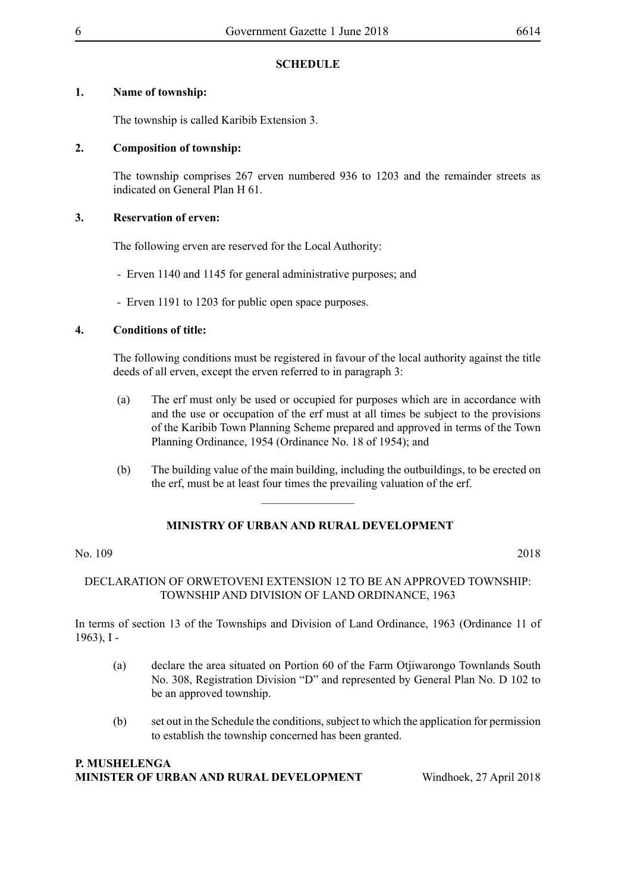#### **1. Name of township:**

The township is called Karibib Extension 3.

#### **2. Composition of township:**

The township comprises 267 erven numbered 936 to 1203 and the remainder streets as indicated on General Plan H 61.

#### **3. Reservation of erven:**

The following erven are reserved for the Local Authority:

- Erven 1140 and 1145 for general administrative purposes; and
- Erven 1191 to 1203 for public open space purposes.

#### **4. Conditions of title:**

The following conditions must be registered in favour of the local authority against the title deeds of all erven, except the erven referred to in paragraph 3:

- (a) The erf must only be used or occupied for purposes which are in accordance with and the use or occupation of the erf must at all times be subject to the provisions of the Karibib Town Planning Scheme prepared and approved in terms of the Town Planning Ordinance, 1954 (Ordinance No. 18 of 1954); and
- (b) The building value of the main building, including the outbuildings, to be erected on the erf, must be at least four times the prevailing valuation of the erf.

### **MINISTRY OF URBAN AND RURAL DEVELOPMENT**

 $\frac{1}{2}$ 

#### No. 109 2018

#### DECLARATION OF ORWETOVENI EXTENSION 12 TO BE AN APPROVED TOWNSHIP: TOWNSHIP AND DIVISION OF LAND ORDINANCE, 1963

In terms of section 13 of the Townships and Division of Land Ordinance, 1963 (Ordinance 11 of 1963), I -

- (a) declare the area situated on Portion 60 of the Farm Otjiwarongo Townlands South No. 308, Registration Division "D" and represented by General Plan No. D 102 to be an approved township.
- (b) set out in the Schedule the conditions, subject to which the application for permission to establish the township concerned has been granted.

#### **P. Mushelenga Minister of Urban and Rural Development** Windhoek, 27 April 2018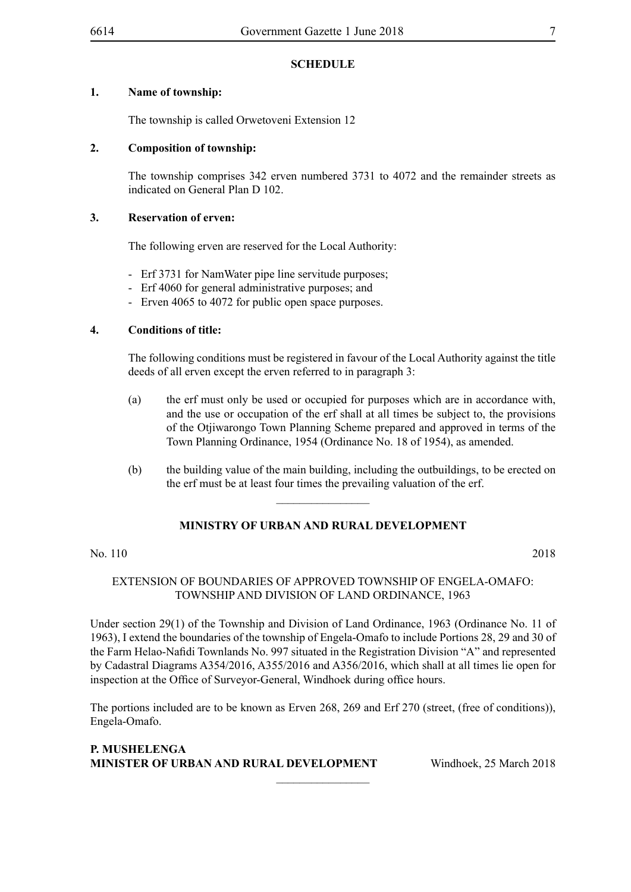#### **1. Name of township:**

The township is called Orwetoveni Extension 12

#### **2. Composition of township:**

The township comprises 342 erven numbered 3731 to 4072 and the remainder streets as indicated on General Plan D 102.

#### **3. Reservation of erven:**

The following erven are reserved for the Local Authority:

- Erf 3731 for NamWater pipe line servitude purposes;
- Erf 4060 for general administrative purposes; and
- Erven 4065 to 4072 for public open space purposes.

#### **4. Conditions of title:**

The following conditions must be registered in favour of the Local Authority against the title deeds of all erven except the erven referred to in paragraph 3:

- (a) the erf must only be used or occupied for purposes which are in accordance with, and the use or occupation of the erf shall at all times be subject to, the provisions of the Otjiwarongo Town Planning Scheme prepared and approved in terms of the Town Planning Ordinance, 1954 (Ordinance No. 18 of 1954), as amended.
- (b) the building value of the main building, including the outbuildings, to be erected on the erf must be at least four times the prevailing valuation of the erf.

#### **MINISTRY OF URBAN AND RURAL DEVELOPMENT**

 $\frac{1}{2}$ 

No. 110 2018

#### EXTENSION OF BOUNDARIES OF APPROVED TOWNSHIP OF ENGELA-OMAFO: TOWNSHIP AND DIVISION OF LAND ORDINANCE, 1963

Under section 29(1) of the Township and Division of Land Ordinance, 1963 (Ordinance No. 11 of 1963), I extend the boundaries of the township of Engela-Omafo to include Portions 28, 29 and 30 of the Farm Helao-Nafidi Townlands No. 997 situated in the Registration Division "A" and represented by Cadastral Diagrams A354/2016, A355/2016 and A356/2016, which shall at all times lie open for inspection at the Office of Surveyor-General, Windhoek during office hours.

The portions included are to be known as Erven 268, 269 and Erf 270 (street, (free of conditions)), Engela-Omafo.

 $\frac{1}{2}$ 

#### **P. Mushelenga Minister of Urban and Rural Development** Windhoek, 25 March 2018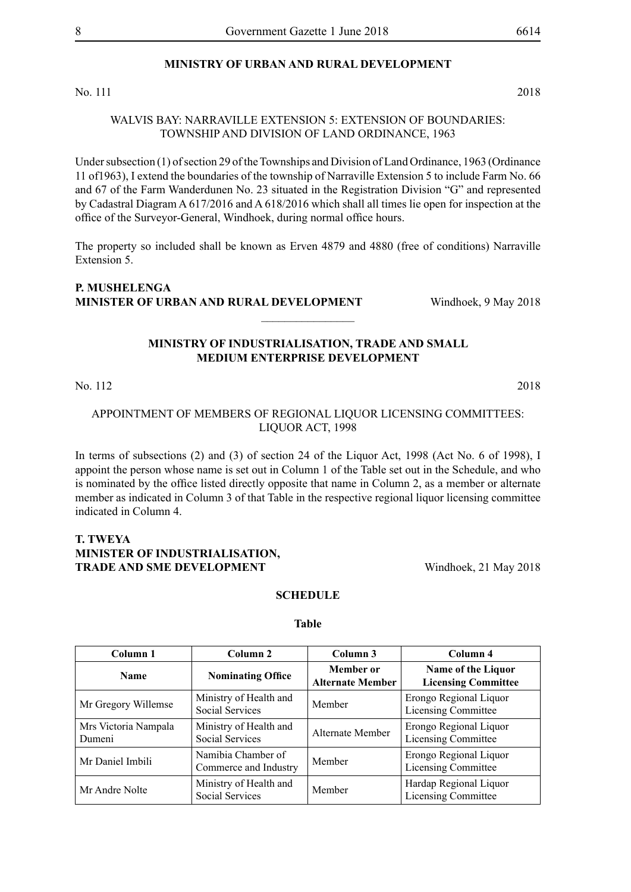#### **MINISTRY OF URBAN AND RURAL DEVELOPMENT**

No. 111 2018

#### WALVIS BAY: NARRAVILLE EXTENSION 5: EXTENSION OF BOUNDARIES: TOWNSHIP AND DIVISION OF LAND ORDINANCE, 1963

Under subsection (1) of section 29 of the Townships and Division of Land Ordinance, 1963 (Ordinance 11 of1963), I extend the boundaries of the township of Narraville Extension 5 to include Farm No. 66 and 67 of the Farm Wanderdunen No. 23 situated in the Registration Division "G" and represented by Cadastral Diagram A 617/2016 and A 618/2016 which shall all times lie open for inspection at the office of the Surveyor-General, Windhoek, during normal office hours.

The property so included shall be known as Erven 4879 and 4880 (free of conditions) Narraville Extension 5.

#### **P. Mushelenga Minister of Urban and Rural Development** Windhoek, 9 May 2018

#### **MINISTRY OF INDUSTRIALISATION, TRADE AND SMALL MEDIUM ENTERPRISE DEVELOPMENT**

 $\overline{\phantom{a}}$  , where  $\overline{\phantom{a}}$ 

#### No. 112 2018

#### APPOINTMENT OF MEMBERS OF REGIONAL LIQUOR LICENSING COMMITTEES: LIQUOR ACT, 1998

In terms of subsections (2) and (3) of section 24 of the Liquor Act, 1998 (Act No. 6 of 1998), I appoint the person whose name is set out in Column 1 of the Table set out in the Schedule, and who is nominated by the office listed directly opposite that name in Column 2, as a member or alternate member as indicated in Column 3 of that Table in the respective regional liquor licensing committee indicated in Column 4.

#### **T. TWEYA MINISTER OF INDUSTRIALISATION, TRADE AND SME DEVELOPMENT** Windhoek, 21 May 2018

# **SCHEDULE**

**Table**

| Column 1                       | Column <sub>2</sub>                         | Column 3                                    | Column 4                                             |
|--------------------------------|---------------------------------------------|---------------------------------------------|------------------------------------------------------|
| <b>Name</b>                    | <b>Nominating Office</b>                    | <b>Member</b> or<br><b>Alternate Member</b> | Name of the Liquor<br><b>Licensing Committee</b>     |
| Mr Gregory Willemse            | Ministry of Health and<br>Social Services   | Member                                      | Erongo Regional Liquor<br>Licensing Committee        |
| Mrs Victoria Nampala<br>Dumeni | Ministry of Health and<br>Social Services   | Alternate Member                            | Erongo Regional Liquor<br><b>Licensing Committee</b> |
| Mr Daniel Imbili               | Namibia Chamber of<br>Commerce and Industry | Member                                      | Erongo Regional Liquor<br><b>Licensing Committee</b> |
| Mr Andre Nolte                 | Ministry of Health and<br>Social Services   | Member                                      | Hardap Regional Liquor<br>Licensing Committee        |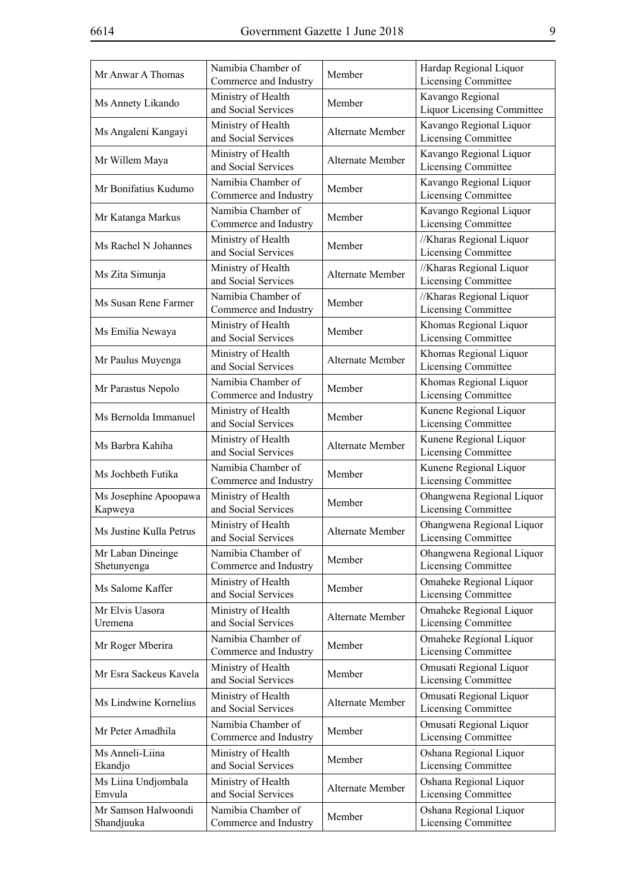| Mr Anwar A Thomas                | Namibia Chamber of<br>Commerce and Industry | Member           | Hardap Regional Liquor<br><b>Licensing Committee</b>    |
|----------------------------------|---------------------------------------------|------------------|---------------------------------------------------------|
| Ms Annety Likando                | Ministry of Health<br>and Social Services   | Member           | Kavango Regional<br><b>Liquor Licensing Committee</b>   |
| Ms Angaleni Kangayi              | Ministry of Health<br>and Social Services   | Alternate Member | Kavango Regional Liquor<br>Licensing Committee          |
| Mr Willem Maya                   | Ministry of Health<br>and Social Services   | Alternate Member | Kavango Regional Liquor<br><b>Licensing Committee</b>   |
| Mr Bonifatius Kudumo             | Namibia Chamber of<br>Commerce and Industry | Member           | Kavango Regional Liquor<br><b>Licensing Committee</b>   |
| Mr Katanga Markus                | Namibia Chamber of<br>Commerce and Industry | Member           | Kavango Regional Liquor<br><b>Licensing Committee</b>   |
| Ms Rachel N Johannes             | Ministry of Health<br>and Social Services   | Member           | //Kharas Regional Liquor<br>Licensing Committee         |
| Ms Zita Simunja                  | Ministry of Health<br>and Social Services   | Alternate Member | //Kharas Regional Liquor<br>Licensing Committee         |
| Ms Susan Rene Farmer             | Namibia Chamber of<br>Commerce and Industry | Member           | //Kharas Regional Liquor<br><b>Licensing Committee</b>  |
| Ms Emilia Newaya                 | Ministry of Health<br>and Social Services   | Member           | Khomas Regional Liquor<br><b>Licensing Committee</b>    |
| Mr Paulus Muyenga                | Ministry of Health<br>and Social Services   | Alternate Member | Khomas Regional Liquor<br>Licensing Committee           |
| Mr Parastus Nepolo               | Namibia Chamber of<br>Commerce and Industry | Member           | Khomas Regional Liquor<br>Licensing Committee           |
| Ms Bernolda Immanuel             | Ministry of Health<br>and Social Services   | Member           | Kunene Regional Liquor<br><b>Licensing Committee</b>    |
| Ms Barbra Kahiha                 | Ministry of Health<br>and Social Services   | Alternate Member | Kunene Regional Liquor<br><b>Licensing Committee</b>    |
| Ms Jochbeth Futika               | Namibia Chamber of<br>Commerce and Industry | Member           | Kunene Regional Liquor<br>Licensing Committee           |
| Ms Josephine Apoopawa<br>Kapweya | Ministry of Health<br>and Social Services   | Member           | Ohangwena Regional Liquor<br><b>Licensing Committee</b> |
| Ms Justine Kulla Petrus          | Ministry of Health<br>and Social Services   | Alternate Member | Ohangwena Regional Liquor<br><b>Licensing Committee</b> |
| Mr Laban Dineinge<br>Shetunyenga | Namibia Chamber of<br>Commerce and Industry | Member           | Ohangwena Regional Liquor<br><b>Licensing Committee</b> |
| Ms Salome Kaffer                 | Ministry of Health<br>and Social Services   | Member           | Omaheke Regional Liquor<br><b>Licensing Committee</b>   |
| Mr Elvis Uasora<br>Uremena       | Ministry of Health<br>and Social Services   | Alternate Member | Omaheke Regional Liquor<br><b>Licensing Committee</b>   |
| Mr Roger Mberira                 | Namibia Chamber of<br>Commerce and Industry | Member           | Omaheke Regional Liquor<br><b>Licensing Committee</b>   |
| Mr Esra Sackeus Kavela           | Ministry of Health<br>and Social Services   | Member           | Omusati Regional Liquor<br>Licensing Committee          |
| Ms Lindwine Kornelius            | Ministry of Health<br>and Social Services   | Alternate Member | Omusati Regional Liquor<br><b>Licensing Committee</b>   |
| Mr Peter Amadhila                | Namibia Chamber of<br>Commerce and Industry | Member           | Omusati Regional Liquor<br><b>Licensing Committee</b>   |
| Ms Anneli-Liina<br>Ekandjo       | Ministry of Health<br>and Social Services   | Member           | Oshana Regional Liquor<br><b>Licensing Committee</b>    |
| Ms Liina Undjombala<br>Emvula    | Ministry of Health<br>and Social Services   | Alternate Member | Oshana Regional Liquor<br>Licensing Committee           |
| Mr Samson Halwoondi              | Namibia Chamber of                          | Member           | Oshana Regional Liquor                                  |
| Shandjuuka                       | Commerce and Industry                       |                  | <b>Licensing Committee</b>                              |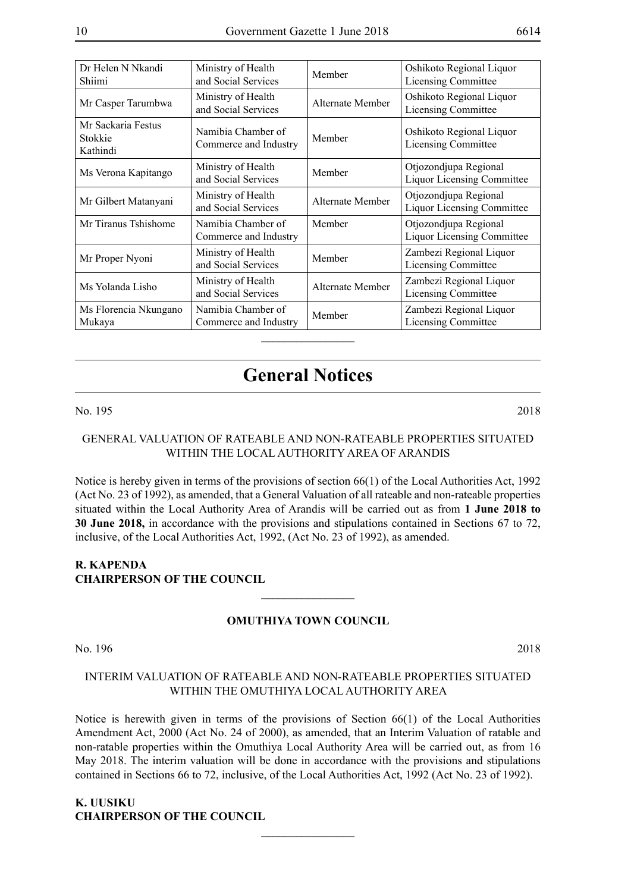| Dr Helen N Nkandi<br>Shiimi               | Ministry of Health<br>and Social Services   | Member           | Oshikoto Regional Liquor<br>Licensing Committee            |
|-------------------------------------------|---------------------------------------------|------------------|------------------------------------------------------------|
| Mr Casper Tarumbwa                        | Ministry of Health<br>and Social Services   | Alternate Member | Oshikoto Regional Liquor<br><b>Licensing Committee</b>     |
| Mr Sackaria Festus<br>Stokkie<br>Kathindi | Namibia Chamber of<br>Commerce and Industry | Member           | Oshikoto Regional Liquor<br><b>Licensing Committee</b>     |
| Ms Verona Kapitango                       | Ministry of Health<br>and Social Services   | Member           | Otjozondjupa Regional<br><b>Liquor Licensing Committee</b> |
| Mr Gilbert Matanyani                      | Ministry of Health<br>and Social Services   | Alternate Member | Otjozondjupa Regional<br><b>Liquor Licensing Committee</b> |
| Mr Tiranus Tshishome                      | Namibia Chamber of<br>Commerce and Industry | Member           | Otjozondjupa Regional<br><b>Liquor Licensing Committee</b> |
| Mr Proper Nyoni                           | Ministry of Health<br>and Social Services   | Member           | Zambezi Regional Liquor<br><b>Licensing Committee</b>      |
| Ms Yolanda Lisho                          | Ministry of Health<br>and Social Services   | Alternate Member | Zambezi Regional Liquor<br>Licensing Committee             |
| Ms Florencia Nkungano<br>Mukaya           | Namibia Chamber of<br>Commerce and Industry | Member           | Zambezi Regional Liquor<br><b>Licensing Committee</b>      |
|                                           |                                             |                  |                                                            |

## **General Notices**

#### No. 195 2018

#### GENERAL VALUATION OF RATEABLE AND NON-RATEABLE PROPERTIES SITUATED WITHIN THE LOCAL AUTHORITY AREA OF ARANDIS

Notice is hereby given in terms of the provisions of section 66(1) of the Local Authorities Act, 1992 (Act No. 23 of 1992), as amended, that a General Valuation of all rateable and non-rateable properties situated within the Local Authority Area of Arandis will be carried out as from **1 June 2018 to 30 June 2018,** in accordance with the provisions and stipulations contained in Sections 67 to 72, inclusive, of the Local Authorities Act, 1992, (Act No. 23 of 1992), as amended.

#### **R. Kapenda Chairperson of the Council**

#### **OMUTHIYA TOWN COUNCIL**

 $\frac{1}{2}$ 

No. 196 2018

#### INTERIM VALUATION OF RATEABLE AND NON-RATEABLE PROPERTIES SITUATED WITHIN THE OMUTHIYA LOCAL AUTHORITY AREA

Notice is herewith given in terms of the provisions of Section 66(1) of the Local Authorities Amendment Act, 2000 (Act No. 24 of 2000), as amended, that an Interim Valuation of ratable and non-ratable properties within the Omuthiya Local Authority Area will be carried out, as from 16 May 2018. The interim valuation will be done in accordance with the provisions and stipulations contained in Sections 66 to 72, inclusive, of the Local Authorities Act, 1992 (Act No. 23 of 1992).

 $\overline{\phantom{a}}$  , where  $\overline{\phantom{a}}$ 

**K. UUSIKU CHAIRPERSON OF THE COUNCIL**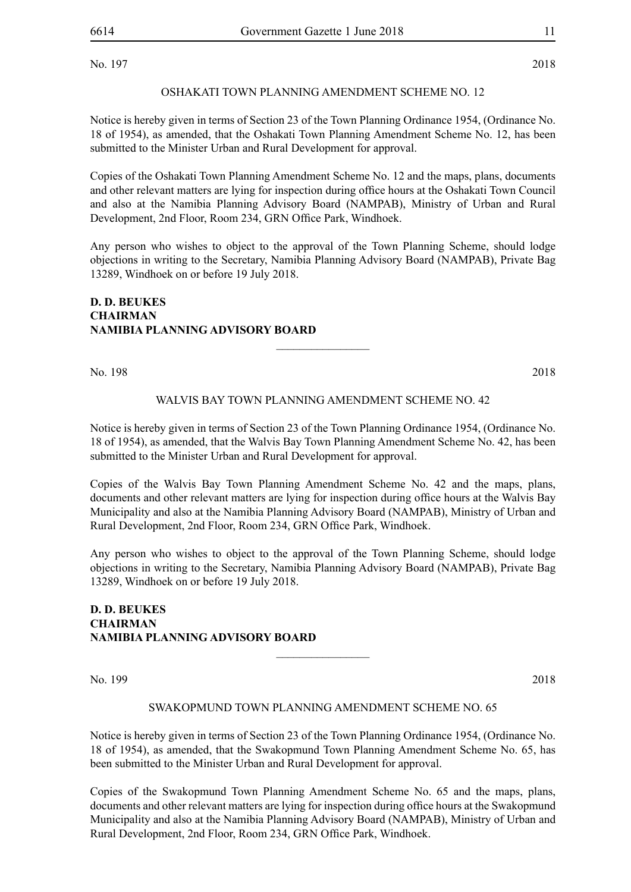No. 197 2018

#### OSHAKATI TOWN PLANNING AMENDMENT SCHEME NO. 12

Notice is hereby given in terms of Section 23 of the Town Planning Ordinance 1954, (Ordinance No. 18 of 1954), as amended, that the Oshakati Town Planning Amendment Scheme No. 12, has been submitted to the Minister Urban and Rural Development for approval.

Copies of the Oshakati Town Planning Amendment Scheme No. 12 and the maps, plans, documents and other relevant matters are lying for inspection during office hours at the Oshakati Town Council and also at the Namibia Planning Advisory Board (NAMPAB), Ministry of Urban and Rural Development, 2nd Floor, Room 234, GRN Office Park, Windhoek.

Any person who wishes to object to the approval of the Town Planning Scheme, should lodge objections in writing to the Secretary, Namibia Planning Advisory Board (NAMPAB), Private Bag 13289, Windhoek on or before 19 July 2018.

#### **D. D. BEUKES CHAIRMAN NAMIBIA PLANNING ADVISORY BOARD**

No. 198 2018

#### WALVIS BAY TOWN PLANNING AMENDMENT SCHEME NO. 42

 $\frac{1}{2}$ 

Notice is hereby given in terms of Section 23 of the Town Planning Ordinance 1954, (Ordinance No. 18 of 1954), as amended, that the Walvis Bay Town Planning Amendment Scheme No. 42, has been submitted to the Minister Urban and Rural Development for approval.

Copies of the Walvis Bay Town Planning Amendment Scheme No. 42 and the maps, plans, documents and other relevant matters are lying for inspection during office hours at the Walvis Bay Municipality and also at the Namibia Planning Advisory Board (NAMPAB), Ministry of Urban and Rural Development, 2nd Floor, Room 234, GRN Office Park, Windhoek.

Any person who wishes to object to the approval of the Town Planning Scheme, should lodge objections in writing to the Secretary, Namibia Planning Advisory Board (NAMPAB), Private Bag 13289, Windhoek on or before 19 July 2018.

#### **D. D. BEUKES CHAIRMAN NAMIBIA PLANNING ADVISORY BOARD**

No. 199 2018

#### SWAKOPMUND TOWN PLANNING AMENDMENT SCHEME NO. 65

 $\frac{1}{2}$ 

Notice is hereby given in terms of Section 23 of the Town Planning Ordinance 1954, (Ordinance No. 18 of 1954), as amended, that the Swakopmund Town Planning Amendment Scheme No. 65, has been submitted to the Minister Urban and Rural Development for approval.

Copies of the Swakopmund Town Planning Amendment Scheme No. 65 and the maps, plans, documents and other relevant matters are lying for inspection during office hours at the Swakopmund Municipality and also at the Namibia Planning Advisory Board (NAMPAB), Ministry of Urban and Rural Development, 2nd Floor, Room 234, GRN Office Park, Windhoek.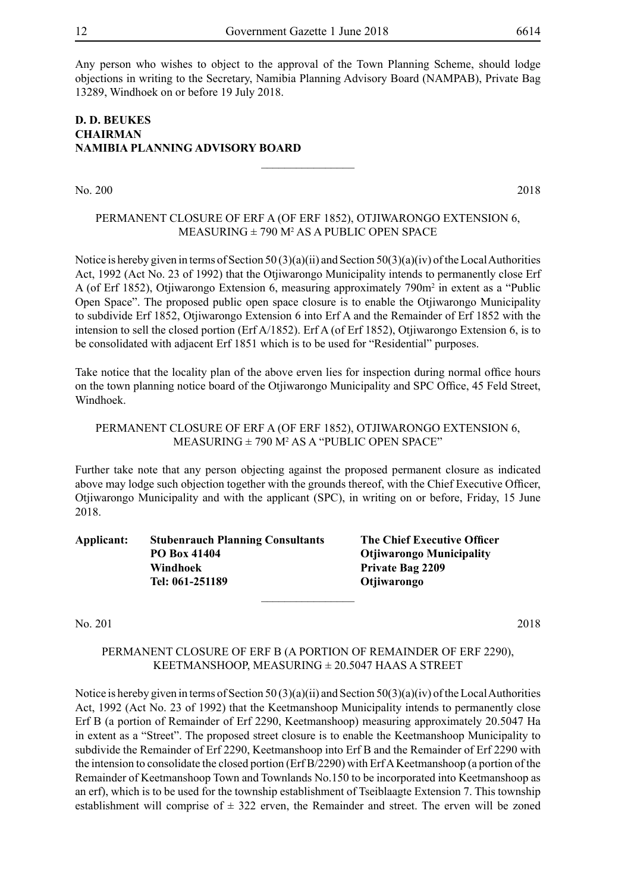Any person who wishes to object to the approval of the Town Planning Scheme, should lodge objections in writing to the Secretary, Namibia Planning Advisory Board (NAMPAB), Private Bag 13289, Windhoek on or before 19 July 2018.

#### **D. D. BEUKES CHAIRMAN NAMIBIA PLANNING ADVISORY BOARD**

No. 200 2018

#### PERMANENT CLOSURE OF ERF A (OF ERF 1852), Otjiwarongo Extension 6, MEASURING ± 790 M<sup>2</sup> AS A PUBLIC OPEN SPACE

 $\overline{\phantom{a}}$  , where  $\overline{\phantom{a}}$ 

Notice is hereby given in terms of Section 50 (3)(a)(ii) and Section 50(3)(a)(iv) of the Local Authorities Act, 1992 (Act No. 23 of 1992) that the Otjiwarongo Municipality intends to permanently close Erf A (of Erf 1852), Otjiwarongo Extension 6, measuring approximately 790m<sup>2</sup> in extent as a "Public Open Space". The proposed public open space closure is to enable the Otjiwarongo Municipality to subdivide Erf 1852, Otjiwarongo Extension 6 into Erf A and the Remainder of Erf 1852 with the intension to sell the closed portion (Erf A/1852). Erf A (of Erf 1852), Otjiwarongo Extension 6, is to be consolidated with adjacent Erf 1851 which is to be used for "Residential" purposes.

Take notice that the locality plan of the above erven lies for inspection during normal office hours on the town planning notice board of the Otjiwarongo Municipality and SPC Office, 45 Feld Street, Windhoek.

#### PERMANENT CLOSURE OF ERF A (OF ERF 1852), Otjiwarongo Extension 6, MEASURING ± 790 M<sup>2</sup> AS A "PUBLIC OPEN SPACE"

Further take note that any person objecting against the proposed permanent closure as indicated above may lodge such objection together with the grounds thereof, with the Chief Executive Officer, Otjiwarongo Municipality and with the applicant (SPC), in writing on or before, Friday, 15 June 2018.

**Applicant: Stubenrauch Planning Consultants The Chief Executive Officer PO Box 41404 Otjiwarongo Municipality Windhoek Private Bag 2209 Tel: 061-251189 Otjiwarongo**  $\frac{1}{2}$ 

No. 201 2018

#### PERMANENT CLOSURE OF ERF B (A PORTION OF REMAINDER OF ERF 2290), KEETMANSHOOP, MEASURING ± 20.5047 HAAS A STREET

Notice is hereby given in terms of Section 50 (3)(a)(ii) and Section 50(3)(a)(iv) of the Local Authorities Act, 1992 (Act No. 23 of 1992) that the Keetmanshoop Municipality intends to permanently close Erf B (a portion of Remainder of Erf 2290, Keetmanshoop) measuring approximately 20.5047 Ha in extent as a "Street". The proposed street closure is to enable the Keetmanshoop Municipality to subdivide the Remainder of Erf 2290, Keetmanshoop into Erf B and the Remainder of Erf 2290 with the intension to consolidate the closed portion (Erf B/2290) with Erf A Keetmanshoop (a portion of the Remainder of Keetmanshoop Town and Townlands No.150 to be incorporated into Keetmanshoop as an erf), which is to be used for the township establishment of Tseiblaagte Extension 7. This township establishment will comprise of  $\pm$  322 erven, the Remainder and street. The erven will be zoned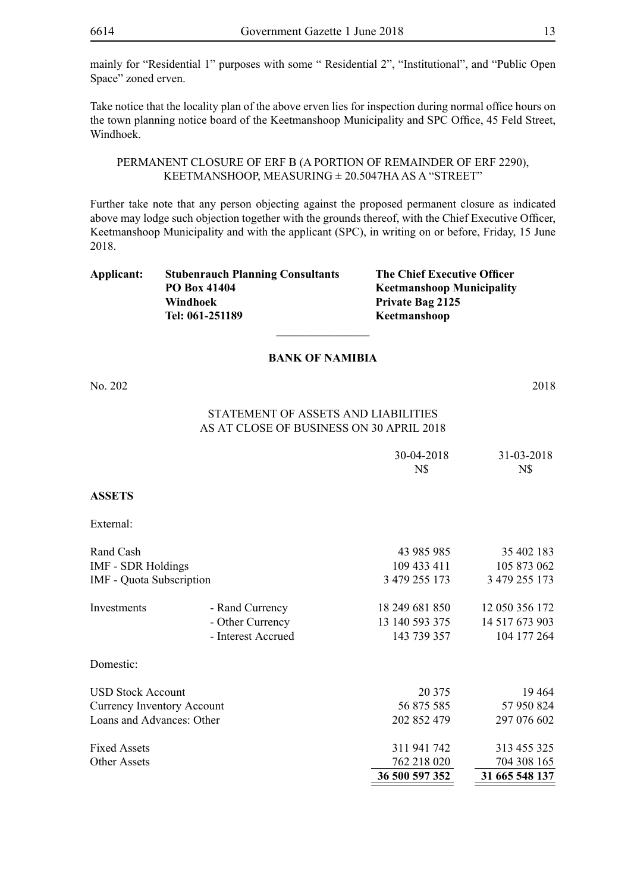mainly for "Residential 1" purposes with some " Residential 2", "Institutional", and "Public Open Space" zoned erven.

Take notice that the locality plan of the above erven lies for inspection during normal office hours on the town planning notice board of the Keetmanshoop Municipality and SPC Office, 45 Feld Street, Windhoek.

PERMANENT CLOSURE OF ERF B (A PORTION OF REMAINDER OF ERF 2290), KEETMANSHOOP, MEASURING ± 20.5047HA AS A "STREET"

Further take note that any person objecting against the proposed permanent closure as indicated above may lodge such objection together with the grounds thereof, with the Chief Executive Officer, Keetmanshoop Municipality and with the applicant (SPC), in writing on or before, Friday, 15 June 2018.

| Applicant: | <b>Stubenrauch Planning Consultants</b> | <b>The Chief Executive Officer</b> |
|------------|-----------------------------------------|------------------------------------|
|            | PO Box 41404                            | <b>Keetmanshoop Municipality</b>   |
|            | Windhoek                                | <b>Private Bag 2125</b>            |
|            | Tel: 061-251189                         | Keetmanshoop                       |
|            |                                         |                                    |

#### **BANK OF NAMIBIA**

No. 202 2018

#### Statement of Assets and Liabilities As at close of business on 30 April 2018

|                                   |                    | 30-04-2018     | 31-03-2018     |
|-----------------------------------|--------------------|----------------|----------------|
|                                   |                    | N\$            | N\$            |
| <b>ASSETS</b>                     |                    |                |                |
| External:                         |                    |                |                |
| Rand Cash                         |                    | 43 985 985     | 35 402 183     |
| <b>IMF - SDR Holdings</b>         |                    | 109 433 411    | 105 873 062    |
| IMF - Quota Subscription          |                    | 3 479 255 173  | 3 479 255 173  |
| Investments                       | - Rand Currency    | 18 249 681 850 | 12 050 356 172 |
|                                   | - Other Currency   | 13 140 593 375 | 14 517 673 903 |
|                                   | - Interest Accrued | 143 739 357    | 104 177 264    |
| Domestic:                         |                    |                |                |
| <b>USD Stock Account</b>          |                    | 20 375         | 19464          |
| <b>Currency Inventory Account</b> |                    | 56 875 585     | 57 950 824     |
| Loans and Advances: Other         |                    | 202 852 479    | 297 076 602    |
| <b>Fixed Assets</b>               |                    | 311 941 742    | 313 455 325    |
| <b>Other Assets</b>               |                    | 762 218 020    | 704 308 165    |
|                                   |                    | 36 500 597 352 | 31 665 548 137 |